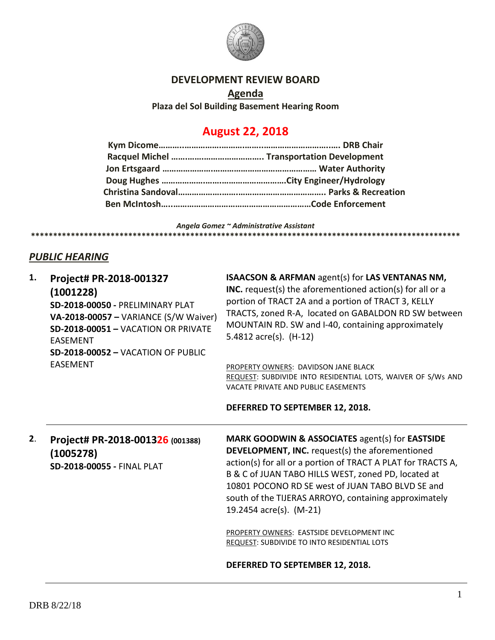

### **DEVELOPMENT REVIEW BOARD**

**Agenda Plaza del Sol Building Basement Hearing Room**

# **August 22, 2018**

*Angela Gomez ~ Administrative Assistant*

**\*\*\*\*\*\*\*\*\*\*\*\*\*\*\*\*\*\*\*\*\*\*\*\*\*\*\*\*\*\*\*\*\*\*\*\*\*\*\*\*\*\*\*\*\*\*\*\*\*\*\*\*\*\*\*\*\*\*\*\*\*\*\*\*\*\*\*\*\*\*\*\*\*\*\*\*\*\*\*\*\*\*\*\*\*\*\*\*\*\*\*\*\*\*\*\*\***

## *PUBLIC HEARING*

| 1. | Project# PR-2018-001327<br>(1001228)<br>SD-2018-00050 - PRELIMINARY PLAT<br>VA-2018-00057 - VARIANCE (S/W Waiver)<br>SD-2018-00051 - VACATION OR PRIVATE<br><b>FASFMENT</b><br>$SD-2018-00052 - VACATION OF PUBLIC$ | <b>ISAACSON &amp; ARFMAN agent(s) for LAS VENTANAS NM,</b><br><b>INC.</b> request(s) the aforementioned $action(s)$ for all or a<br>portion of TRACT 2A and a portion of TRACT 3, KELLY<br>TRACTS, zoned R-A, located on GABALDON RD SW between<br>MOUNTAIN RD. SW and I-40, containing approximately<br>5.4812 $\arccos $ . (H-12) |
|----|---------------------------------------------------------------------------------------------------------------------------------------------------------------------------------------------------------------------|-------------------------------------------------------------------------------------------------------------------------------------------------------------------------------------------------------------------------------------------------------------------------------------------------------------------------------------|
|    | EASEMENT                                                                                                                                                                                                            | PROPERTY OWNERS: DAVIDSON JANE BLACK<br>REQUEST: SUBDIVIDE INTO RESIDENTIAL LOTS, WAIVER OF S/Ws AND<br>VACATE PRIVATE AND PUBLIC EASEMENTS<br>DEFERRED TO SEPTEMBER 12, 2018.                                                                                                                                                      |

**2**. **Project# PR-2018-001326 (001388) (1005278) SD-2018-00055 -** FINAL PLAT

**MARK GOODWIN & ASSOCIATES** agent(s) for **EASTSIDE DEVELOPMENT, INC.** request(s) the aforementioned action(s) for all or a portion of TRACT A PLAT for TRACTS A, B & C of JUAN TABO HILLS WEST, zoned PD, located at 10801 POCONO RD SE west of JUAN TABO BLVD SE and south of the TIJERAS ARROYO, containing approximately 19.2454 acre(s). (M-21)

PROPERTY OWNERS: EASTSIDE DEVELOPMENT INC REQUEST: SUBDIVIDE TO INTO RESIDENTIAL LOTS

**DEFERRED TO SEPTEMBER 12, 2018.**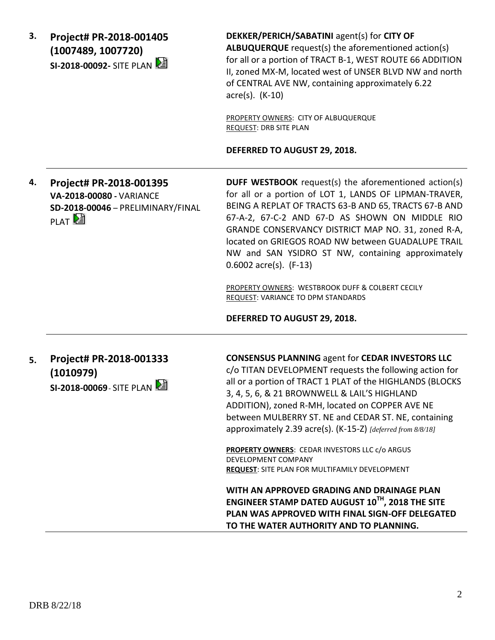**3. Project# PR-2018-001405 (1007489, 1007720) SI-2018-00092-** SITE PLAN

**DEKKER/PERICH/SABATINI** agent(s) for **CITY OF ALBUQUERQUE** request(s) the aforementioned action(s) for all or a portion of TRACT B-1, WEST ROUTE 66 ADDITION II, zoned MX-M, located west of UNSER BLVD NW and north of CENTRAL AVE NW, containing approximately 6.22 acre(s). (K-10)

PROPERTY OWNERS: CITY OF ALBUQUERQUE REQUEST: DRB SITE PLAN

#### **DEFERRED TO AUGUST 29, 2018.**

**4. Project# PR-2018-001395 VA-2018-00080 -** VARIANCE **SD-2018-00046** – PRELIMINARY/FINAL **PLAT** 

**DUFF WESTBOOK** request(s) the aforementioned action(s) for all or a portion of LOT 1, LANDS OF LIPMAN-TRAVER, BEING A REPLAT OF TRACTS 63-B AND 65, TRACTS 67-B AND 67-A-2, 67-C-2 AND 67-D AS SHOWN ON MIDDLE RIO GRANDE CONSERVANCY DISTRICT MAP NO. 31, zoned R-A, located on GRIEGOS ROAD NW between GUADALUPE TRAIL NW and SAN YSIDRO ST NW, containing approximately 0.6002 acre(s). (F-13)

PROPERTY OWNERS: WESTBROOK DUFF & COLBERT CECILY REQUEST: VARIANCE TO DPM STANDARDS

**DEFERRED TO AUGUST 29, 2018.**

**5. Project# PR-2018-001333 (1010979) SI-2018-00069**- SITE PLAN

**CONSENSUS PLANNING** agent for **CEDAR INVESTORS LLC**

c/o TITAN DEVELOPMENT requests the following action for all or a portion of TRACT 1 PLAT of the HIGHLANDS (BLOCKS 3, 4, 5, 6, & 21 BROWNWELL & LAIL'S HIGHLAND ADDITION), zoned R-MH, located on COPPER AVE NE between MULBERRY ST. NE and CEDAR ST. NE, containing approximately 2.39 acre(s). (K-15-Z) *[deferred from 8/8/18]*

**PROPERTY OWNERS**: CEDAR INVESTORS LLC c/o ARGUS DEVELOPMENT COMPANY **REQUEST**: SITE PLAN FOR MULTIFAMILY DEVELOPMENT

**WITH AN APPROVED GRADING AND DRAINAGE PLAN ENGINEER STAMP DATED AUGUST 10TH, 2018 THE SITE PLAN WAS APPROVED WITH FINAL SIGN-OFF DELEGATED TO THE WATER AUTHORITY AND TO PLANNING.**